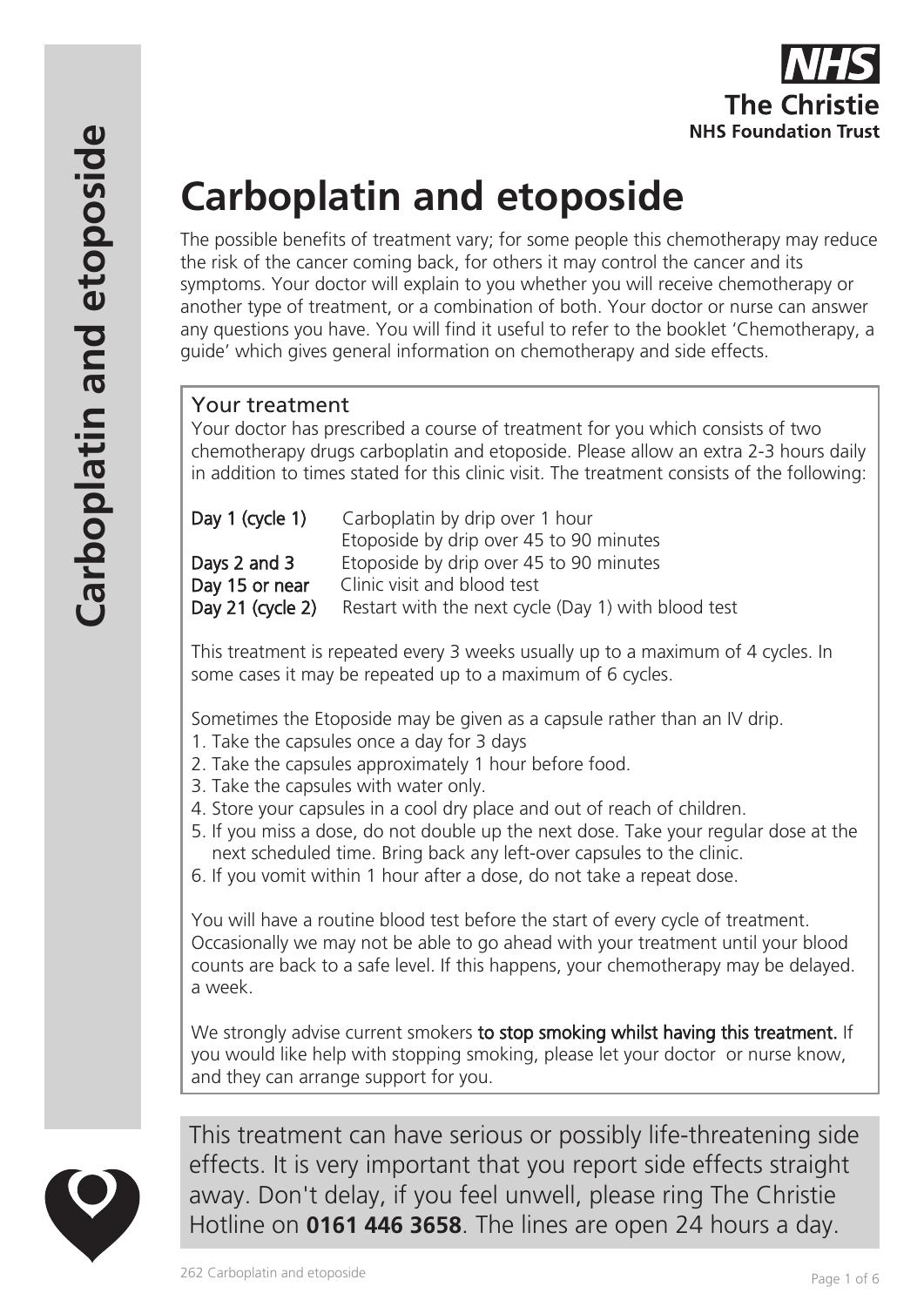# **Carboplatin and etoposide**

The possible benefits of treatment vary; for some people this chemotherapy may reduce the risk of the cancer coming back, for others it may control the cancer and its symptoms. Your doctor will explain to you whether you will receive chemotherapy or another type of treatment, or a combination of both. Your doctor or nurse can answer any questions you have. You will find it useful to refer to the booklet 'Chemotherapy, a guide' which gives general information on chemotherapy and side effects.

# Your treatment

Your doctor has prescribed a course of treatment for you which consists of two chemotherapy drugs carboplatin and etoposide. Please allow an extra 2-3 hours daily in addition to times stated for this clinic visit. The treatment consists of the following:

| Day 1 (cycle 1)  | Carboplatin by drip over 1 hour                     |
|------------------|-----------------------------------------------------|
|                  | Etoposide by drip over 45 to 90 minutes             |
| Days 2 and 3     | Etoposide by drip over 45 to 90 minutes             |
| Day 15 or near   | Clinic visit and blood test                         |
| Day 21 (cycle 2) | Restart with the next cycle (Day 1) with blood test |

This treatment is repeated every 3 weeks usually up to a maximum of 4 cycles. In some cases it may be repeated up to a maximum of 6 cycles.

Sometimes the Etoposide may be given as a capsule rather than an IV drip.

- 1. Take the capsules once a day for 3 days
- 2. Take the capsules approximately 1 hour before food.
- 3. Take the capsules with water only.
- 4. Store your capsules in a cool dry place and out of reach of children.
- 5. If you miss a dose, do not double up the next dose. Take your regular dose at the next scheduled time. Bring back any left-over capsules to the clinic.
- 6. If you vomit within 1 hour after a dose, do not take a repeat dose.

You will have a routine blood test before the start of every cycle of treatment. Occasionally we may not be able to go ahead with your treatment until your blood counts are back to a safe level. If this happens, your chemotherapy may be delayed. a week.

We strongly advise current smokers to stop smoking whilst having this treatment. If you would like help with stopping smoking, please let your doctor or nurse know, and they can arrange support for you.



This treatment can have serious or possibly life-threatening side effects. It is very important that you report side effects straight away. Don't delay, if you feel unwell, please ring The Christie Hotline on **0161 446 3658**. The lines are open 24 hours a day.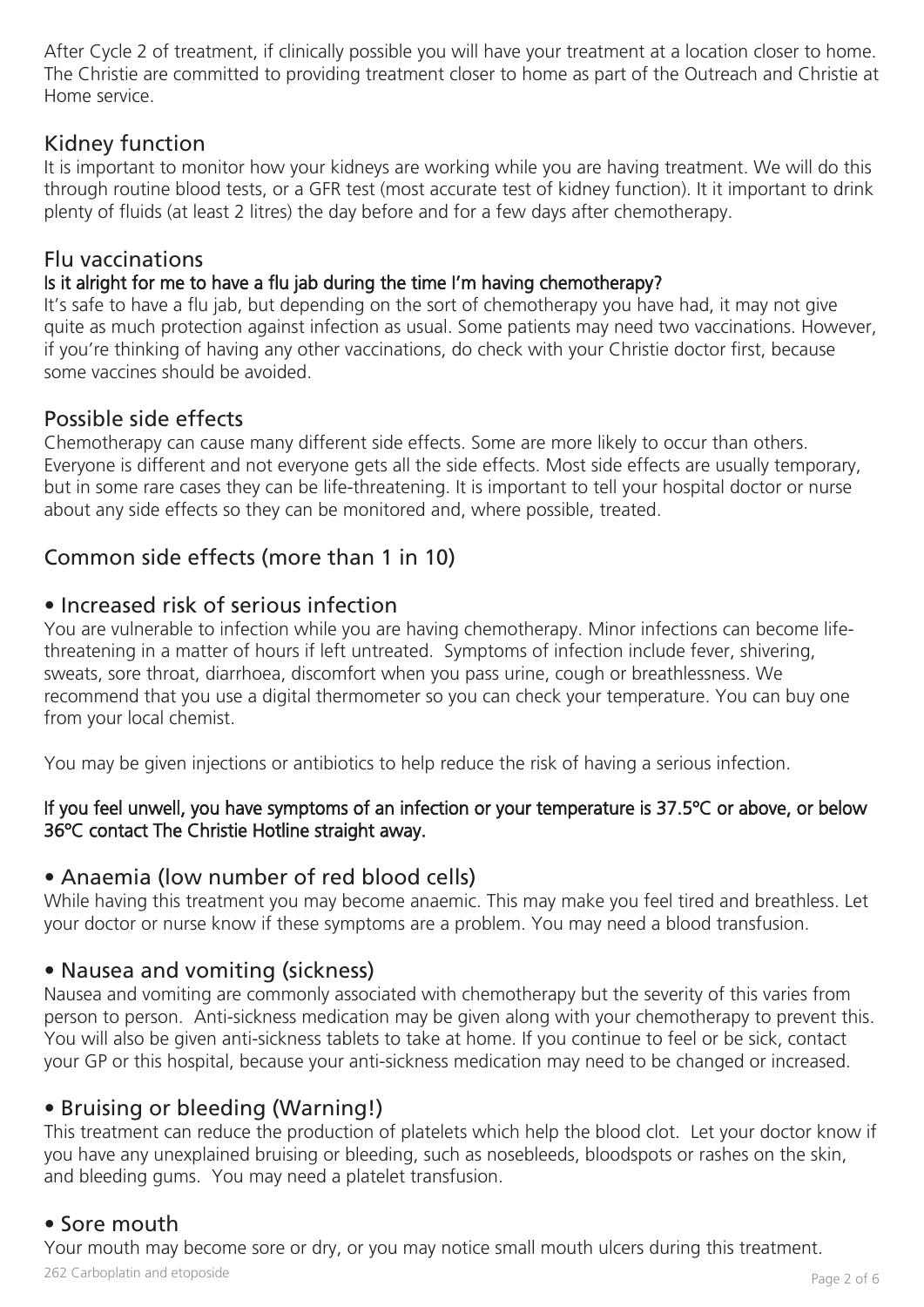After Cycle 2 of treatment, if clinically possible you will have your treatment at a location closer to home. The Christie are committed to providing treatment closer to home as part of the Outreach and Christie at Home service.

# Kidney function

It is important to monitor how your kidneys are working while you are having treatment. We will do this through routine blood tests, or a GFR test (most accurate test of kidney function). It it important to drink plenty of fluids (at least 2 litres) the day before and for a few days after chemotherapy.

# Flu vaccinations

## Is it alright for me to have a flu jab during the time I'm having chemotherapy?

It's safe to have a flu jab, but depending on the sort of chemotherapy you have had, it may not give quite as much protection against infection as usual. Some patients may need two vaccinations. However, if you're thinking of having any other vaccinations, do check with your Christie doctor first, because some vaccines should be avoided.

# Possible side effects

Chemotherapy can cause many different side effects. Some are more likely to occur than others. Everyone is different and not everyone gets all the side effects. Most side effects are usually temporary, but in some rare cases they can be life-threatening. It is important to tell your hospital doctor or nurse about any side effects so they can be monitored and, where possible, treated.

# Common side effects (more than 1 in 10)

## • Increased risk of serious infection

You are vulnerable to infection while you are having chemotherapy. Minor infections can become lifethreatening in a matter of hours if left untreated. Symptoms of infection include fever, shivering, sweats, sore throat, diarrhoea, discomfort when you pass urine, cough or breathlessness. We recommend that you use a digital thermometer so you can check your temperature. You can buy one from your local chemist.

You may be given injections or antibiotics to help reduce the risk of having a serious infection.

#### If you feel unwell, you have symptoms of an infection or your temperature is 37.5ºC or above, or below 36ºC contact The Christie Hotline straight away.

## • Anaemia (low number of red blood cells)

While having this treatment you may become anaemic. This may make you feel tired and breathless. Let your doctor or nurse know if these symptoms are a problem. You may need a blood transfusion.

# • Nausea and vomiting (sickness)

Nausea and vomiting are commonly associated with chemotherapy but the severity of this varies from person to person. Anti-sickness medication may be given along with your chemotherapy to prevent this. You will also be given anti-sickness tablets to take at home. If you continue to feel or be sick, contact your GP or this hospital, because your anti-sickness medication may need to be changed or increased.

# • Bruising or bleeding (Warning!)

This treatment can reduce the production of platelets which help the blood clot. Let your doctor know if you have any unexplained bruising or bleeding, such as nosebleeds, bloodspots or rashes on the skin, and bleeding gums. You may need a platelet transfusion.

# • Sore mouth

Your mouth may become sore or dry, or you may notice small mouth ulcers during this treatment.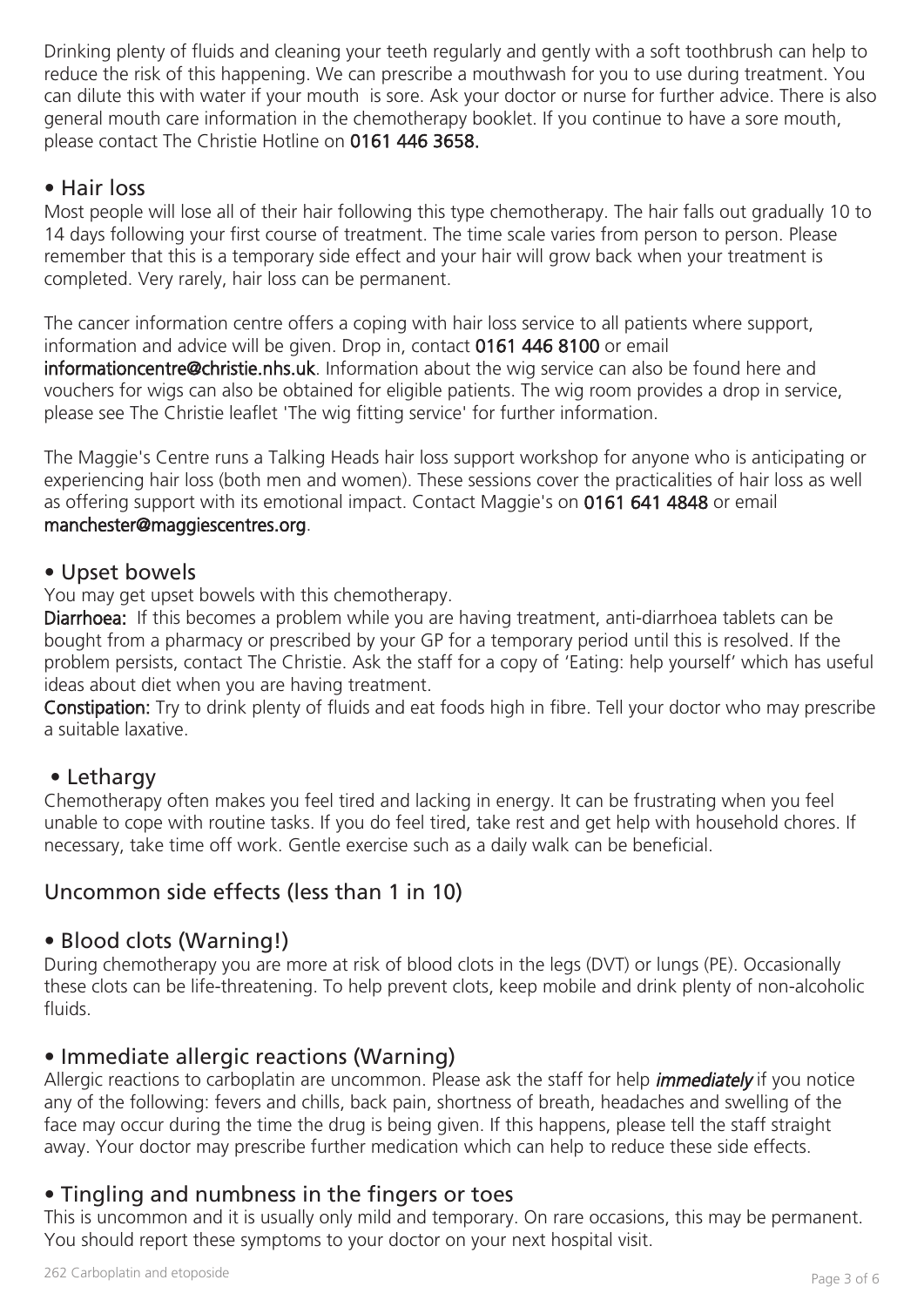Drinking plenty of fluids and cleaning your teeth regularly and gently with a soft toothbrush can help to reduce the risk of this happening. We can prescribe a mouthwash for you to use during treatment. You can dilute this with water if your mouth is sore. Ask your doctor or nurse for further advice. There is also general mouth care information in the chemotherapy booklet. If you continue to have a sore mouth, please contact The Christie Hotline on 0161 446 3658.

# • Hair loss

Most people will lose all of their hair following this type chemotherapy. The hair falls out gradually 10 to 14 days following your first course of treatment. The time scale varies from person to person. Please remember that this is a temporary side effect and your hair will grow back when your treatment is completed. Very rarely, hair loss can be permanent.

The cancer information centre offers a coping with hair loss service to all patients where support, information and advice will be given. Drop in, contact 0161 446 8100 or email informationcentre@christie.nhs.uk. Information about the wig service can also be found here and vouchers for wigs can also be obtained for eligible patients. The wig room provides a drop in service, please see The Christie leaflet 'The wig fitting service' for further information.

The Maggie's Centre runs a Talking Heads hair loss support workshop for anyone who is anticipating or experiencing hair loss (both men and women). These sessions cover the practicalities of hair loss as well as offering support with its emotional impact. Contact Maggie's on 0161 641 4848 or email manchester@maggiescentres.org.

#### • Upset bowels

You may get upset bowels with this chemotherapy.

Diarrhoea: If this becomes a problem while you are having treatment, anti-diarrhoea tablets can be bought from a pharmacy or prescribed by your GP for a temporary period until this is resolved. If the problem persists, contact The Christie. Ask the staff for a copy of 'Eating: help yourself' which has useful ideas about diet when you are having treatment.

Constipation: Try to drink plenty of fluids and eat foods high in fibre. Tell your doctor who may prescribe a suitable laxative.

## • Lethargy

Chemotherapy often makes you feel tired and lacking in energy. It can be frustrating when you feel unable to cope with routine tasks. If you do feel tired, take rest and get help with household chores. If necessary, take time off work. Gentle exercise such as a daily walk can be beneficial.

# Uncommon side effects (less than 1 in 10)

## • Blood clots (Warning!)

During chemotherapy you are more at risk of blood clots in the legs (DVT) or lungs (PE). Occasionally these clots can be life-threatening. To help prevent clots, keep mobile and drink plenty of non-alcoholic fluids.

# • Immediate allergic reactions (Warning)

Allergic reactions to carboplatin are uncommon. Please ask the staff for help *immediately* if you notice any of the following: fevers and chills, back pain, shortness of breath, headaches and swelling of the face may occur during the time the drug is being given. If this happens, please tell the staff straight away. Your doctor may prescribe further medication which can help to reduce these side effects.

# • Tingling and numbness in the fingers or toes

This is uncommon and it is usually only mild and temporary. On rare occasions, this may be permanent. You should report these symptoms to your doctor on your next hospital visit.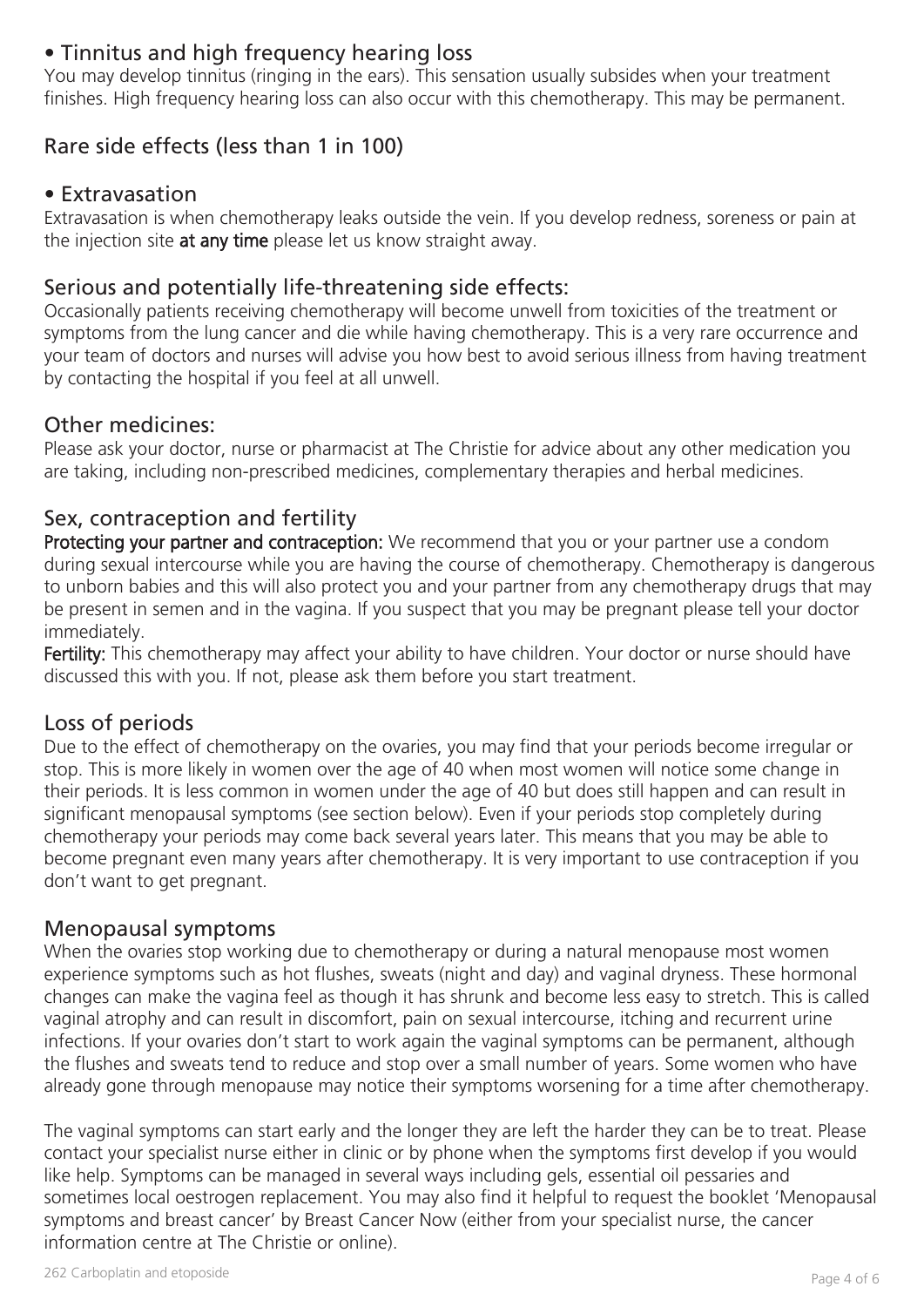# • Tinnitus and high frequency hearing loss

You may develop tinnitus (ringing in the ears). This sensation usually subsides when your treatment finishes. High frequency hearing loss can also occur with this chemotherapy. This may be permanent.

# Rare side effects (less than 1 in 100)

#### • Extravasation

Extravasation is when chemotherapy leaks outside the vein. If you develop redness, soreness or pain at the injection site at any time please let us know straight away.

# Serious and potentially life-threatening side effects:

Occasionally patients receiving chemotherapy will become unwell from toxicities of the treatment or symptoms from the lung cancer and die while having chemotherapy. This is a very rare occurrence and your team of doctors and nurses will advise you how best to avoid serious illness from having treatment by contacting the hospital if you feel at all unwell.

#### Other medicines:

Please ask your doctor, nurse or pharmacist at The Christie for advice about any other medication you are taking, including non-prescribed medicines, complementary therapies and herbal medicines.

## Sex, contraception and fertility

Protecting your partner and contraception: We recommend that you or your partner use a condom during sexual intercourse while you are having the course of chemotherapy. Chemotherapy is dangerous to unborn babies and this will also protect you and your partner from any chemotherapy drugs that may be present in semen and in the vagina. If you suspect that you may be pregnant please tell your doctor immediately.

Fertility: This chemotherapy may affect your ability to have children. Your doctor or nurse should have discussed this with you. If not, please ask them before you start treatment.

## Loss of periods

Due to the effect of chemotherapy on the ovaries, you may find that your periods become irregular or stop. This is more likely in women over the age of 40 when most women will notice some change in their periods. It is less common in women under the age of 40 but does still happen and can result in significant menopausal symptoms (see section below). Even if your periods stop completely during chemotherapy your periods may come back several years later. This means that you may be able to become pregnant even many years after chemotherapy. It is very important to use contraception if you don't want to get pregnant.

#### Menopausal symptoms

When the ovaries stop working due to chemotherapy or during a natural menopause most women experience symptoms such as hot flushes, sweats (night and day) and vaginal dryness. These hormonal changes can make the vagina feel as though it has shrunk and become less easy to stretch. This is called vaginal atrophy and can result in discomfort, pain on sexual intercourse, itching and recurrent urine infections. If your ovaries don't start to work again the vaginal symptoms can be permanent, although the flushes and sweats tend to reduce and stop over a small number of years. Some women who have already gone through menopause may notice their symptoms worsening for a time after chemotherapy.

The vaginal symptoms can start early and the longer they are left the harder they can be to treat. Please contact your specialist nurse either in clinic or by phone when the symptoms first develop if you would like help. Symptoms can be managed in several ways including gels, essential oil pessaries and sometimes local oestrogen replacement. You may also find it helpful to request the booklet 'Menopausal symptoms and breast cancer' by Breast Cancer Now (either from your specialist nurse, the cancer information centre at The Christie or online).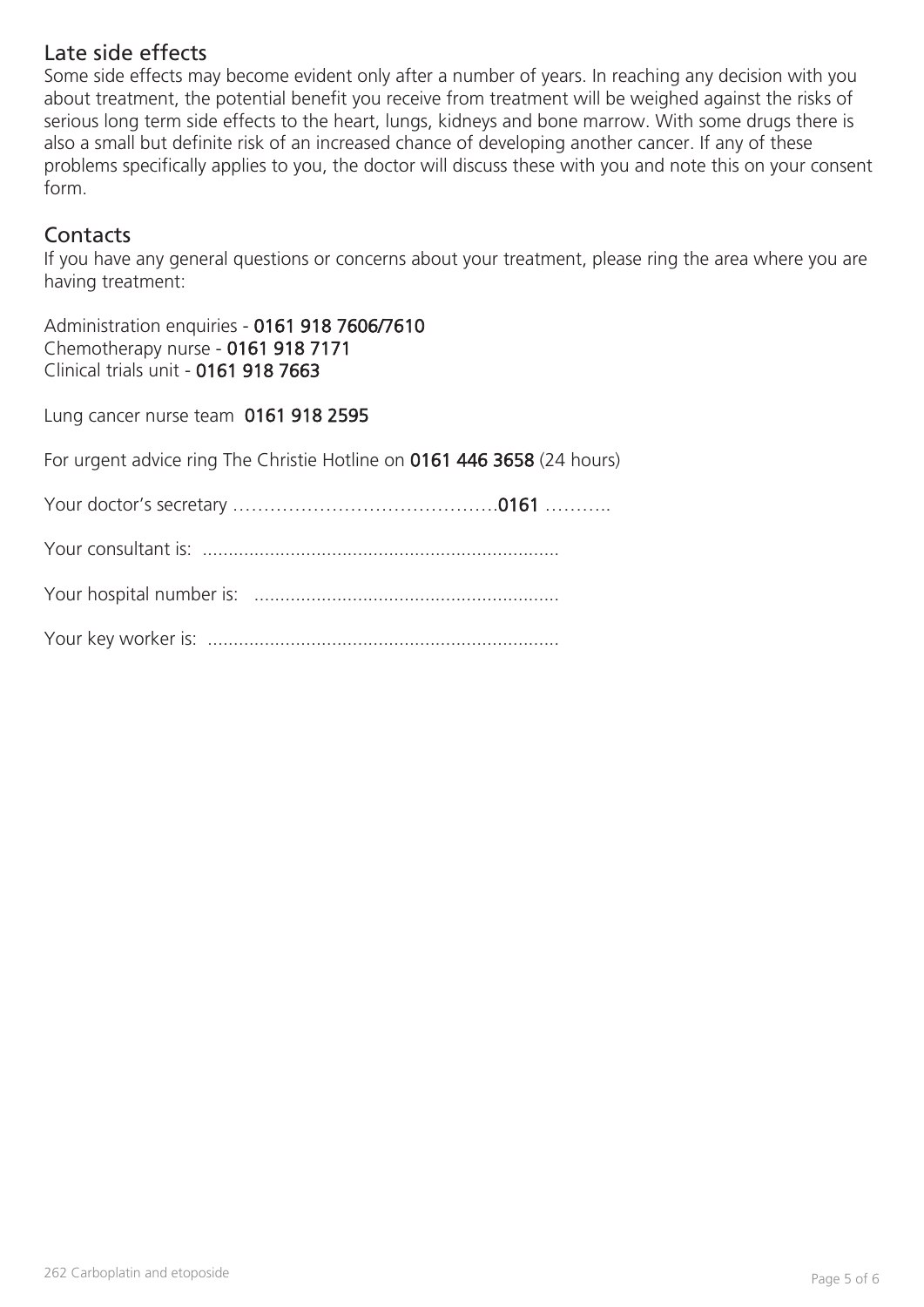## Late side effects

Some side effects may become evident only after a number of years. In reaching any decision with you about treatment, the potential benefit you receive from treatment will be weighed against the risks of serious long term side effects to the heart, lungs, kidneys and bone marrow. With some drugs there is also a small but definite risk of an increased chance of developing another cancer. If any of these problems specifically applies to you, the doctor will discuss these with you and note this on your consent form.

## **Contacts**

If you have any general questions or concerns about your treatment, please ring the area where you are having treatment:

Administration enquiries - 0161 918 7606/7610 Chemotherapy nurse - 0161 918 7171 Clinical trials unit - 0161 918 7663

Lung cancer nurse team 0161 918 2595

For urgent advice ring The Christie Hotline on 0161 446 3658 (24 hours)

Your doctor's secretary …………………………………….0161 ………..

Your consultant is: .....................................................................

Your hospital number is: ...........................................................

Your key worker is: ....................................................................